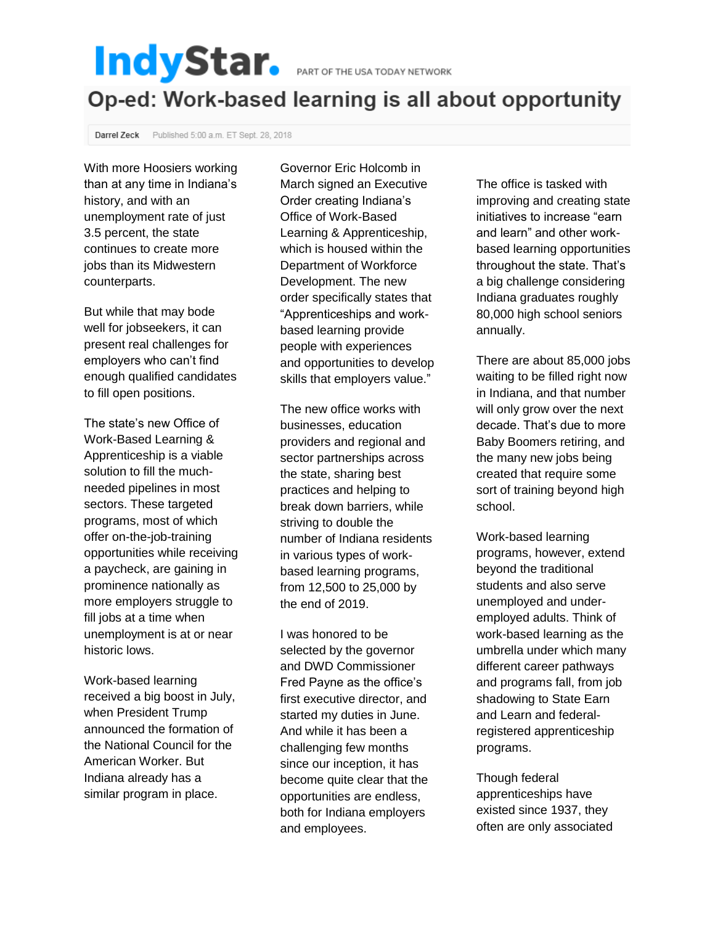## IndyStar. PART OF THE USA TODAY NETWORK

## Op-ed: Work-based learning is all about opportunity

Darrel Zeck Published 5:00 a.m. ET Sept. 28, 2018

With more Hoosiers working than at any time in Indiana's history, and with an unemployment rate of just 3.5 percent, the state continues to create more jobs than its Midwestern counterparts.

But while that may bode well for jobseekers, it can present real challenges for employers who can't find enough qualified candidates to fill open positions.

The state's new Office of Work-Based Learning & Apprenticeship is a viable solution to fill the muchneeded pipelines in most sectors. These targeted programs, most of which offer on-the-job-training opportunities while receiving a paycheck, are gaining in prominence nationally as more employers struggle to fill jobs at a time when unemployment is at or near historic lows.

Work-based learning received a big boost in July, when President Trump announced the formation of the National Council for the American Worker. But Indiana already has a similar program in place.

Governor Eric Holcomb in March signed an Executive Order creating Indiana's Office of Work-Based Learning & Apprenticeship, which is housed within the Department of Workforce Development. The new order specifically states that "Apprenticeships and workbased learning provide people with experiences and opportunities to develop skills that employers value."

The new office works with businesses, education providers and regional and sector partnerships across the state, sharing best practices and helping to break down barriers, while striving to double the number of Indiana residents in various types of workbased learning programs, from 12,500 to 25,000 by the end of 2019.

I was honored to be selected by the governor and DWD Commissioner Fred Payne as the office's first executive director, and started my duties in June. And while it has been a challenging few months since our inception, it has become quite clear that the opportunities are endless, both for Indiana employers and employees.

The office is tasked with improving and creating state initiatives to increase "earn and learn" and other workbased learning opportunities throughout the state. That's a big challenge considering Indiana graduates roughly 80,000 high school seniors annually.

There are about 85,000 jobs waiting to be filled right now in Indiana, and that number will only grow over the next decade. That's due to more Baby Boomers retiring, and the many new jobs being created that require some sort of training beyond high school.

Work-based learning programs, however, extend beyond the traditional students and also serve unemployed and underemployed adults. Think of work-based learning as the umbrella under which many different career pathways and programs fall, from job shadowing to State Earn and Learn and federalregistered apprenticeship programs.

Though federal apprenticeships have existed since 1937, they often are only associated